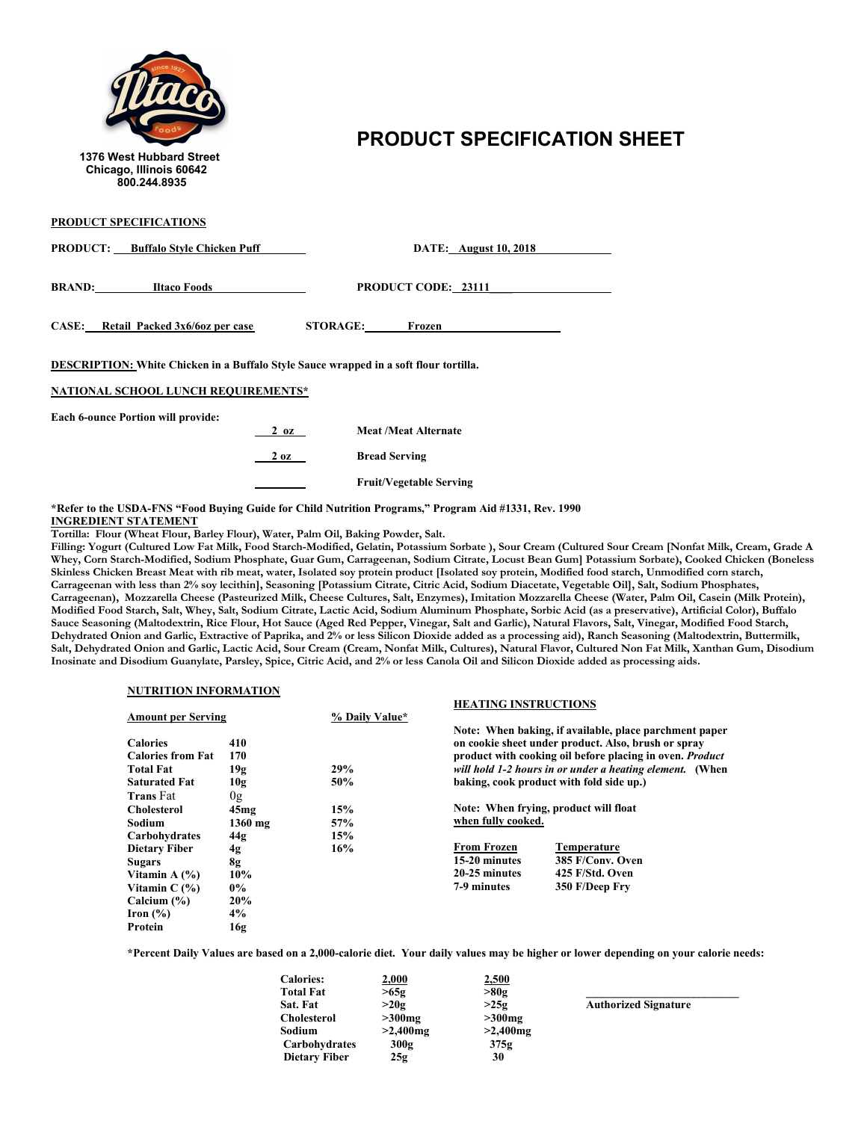

## 1376 West Hubbard Street<br>1376 West Hubbard Street

| PRODUCT SPECIFICATIONS                                                                                                       |                |                                |  |
|------------------------------------------------------------------------------------------------------------------------------|----------------|--------------------------------|--|
| <b>PRODUCT:</b> Buffalo Style Chicken Puff                                                                                   |                | <b>DATE:</b> August 10, 2018   |  |
| <b>BRAND:</b> Iltaco Foods                                                                                                   |                | <b>PRODUCT CODE: 23111</b>     |  |
| CASE: Retail Packed 3x6/6oz per case                                                                                         |                | STORAGE: Frozen                |  |
| DESCRIPTION: White Chicken in a Buffalo Style Sauce wrapped in a soft flour tortilla.<br>NATIONAL SCHOOL LUNCH REQUIREMENTS* |                |                                |  |
|                                                                                                                              |                |                                |  |
| <b>Each 6-ounce Portion will provide:</b>                                                                                    | $2 \text{ oz}$ | <b>Meat /Meat Alternate</b>    |  |
|                                                                                                                              | $2 \text{ oz}$ | <b>Bread Serving</b>           |  |
|                                                                                                                              |                | <b>Fruit/Vegetable Serving</b> |  |

**\*Refer to the USDA-FNS "Food Buying Guide for Child Nutrition Programs," Program Aid #1331, Rev. 1990 INGREDIENT STATEMENT**

**Tortilla: Flour (Wheat Flour, Barley Flour), Water, Palm Oil, Baking Powder, Salt.**

Filling: Yogurt (Cultured Low Fat Milk, Food Starch-Modified, Gelatin, Potassium Sorbate ), Sour Cream (Cultured Sour Cream [Nonfat Milk, Cream, Grade A **Whey, Corn Starch-Modified, Sodium Phosphate, Guar Gum, Carrageenan, Sodium Citrate, Locust Bean Gum] Potassium Sorbate), Cooked Chicken (Boneless** Skinless Chicken Breast Meat with rib meat, water, Isolated soy protein product [Isolated soy protein, Modified food starch, Unmodified corn starch, Carrageenan with less than 2% soy lecithin], Seasoning [Potassium Citrate, Citric Acid, Sodium Diacetate, Vegetable Oil], Salt, Sodium Phosphates, **Carrageenan), Mozzarella Cheese (Pasteurized Milk, Cheese Cultures, Salt, Enzymes), Imitation Mozzarella Cheese (Water, Palm Oil, Casein (Milk Protein), Modified Food Starch, Salt, Whey, Salt, Sodium Citrate, Lactic Acid, Sodium Aluminum Phosphate, Sorbic Acid (as a preservative), Artificial Color), Buffalo Sauce Seasoning (Maltodextrin, Rice Flour, Hot Sauce (Aged Red Pepper, Vinegar, Salt and Garlic), Natural Flavors, Salt, Vinegar, Modified Food Starch, Dehydrated Onion and Garlic, Extractive of Paprika, and 2% or less Silicon Dioxide added as a processing aid), Ranch Seasoning (Maltodextrin, Buttermilk, Salt, Dehydrated Onion and Garlic, Lactic Acid, Sour Cream (Cream, Nonfat Milk, Cultures), Natural Flavor, Cultured Non Fat Milk, Xanthan Gum, Disodium Inosinate and Disodium Guanylate, Parsley, Spice, Citric Acid, and 2% or less Canola Oil and Silicon Dioxide added as processing aids.**

#### **NUTRITION INFORMATION**

|                                             |            |                | <b>HEATING INSTRUCTIONS</b> |                                                                                                                                                                           |
|---------------------------------------------|------------|----------------|-----------------------------|---------------------------------------------------------------------------------------------------------------------------------------------------------------------------|
| <b>Amount per Serving</b>                   |            | % Daily Value* |                             |                                                                                                                                                                           |
| <b>Calories</b><br><b>Calories from Fat</b> | 410<br>170 |                |                             | Note: When baking, if available, place parchment paper<br>on cookie sheet under product. Also, brush or spray<br>product with cooking oil before placing in oven. Product |
| <b>Total Fat</b>                            | 19g        | 29%            |                             | will hold 1-2 hours in or under a heating element. (When                                                                                                                  |
| <b>Saturated Fat</b>                        | 10g        | 50%            |                             | baking, cook product with fold side up.)                                                                                                                                  |
| <b>Trans Fat</b>                            | 0g         |                |                             |                                                                                                                                                                           |
| <b>Cholesterol</b>                          | 45mg       | 15%            |                             | Note: When frying, product will float                                                                                                                                     |
| Sodium                                      | $1360$ mg  | 57%            | when fully cooked.          |                                                                                                                                                                           |
| Carbohydrates                               | 44g        | 15%            |                             |                                                                                                                                                                           |
| <b>Dietary Fiber</b>                        | 4g         | 16%            | <b>From Frozen</b>          | Temperature                                                                                                                                                               |
| <b>Sugars</b>                               | 8g         |                | 15-20 minutes               | 385 F/Conv. Oven                                                                                                                                                          |
| Vitamin A $(%)$                             | 10%        |                | 20-25 minutes               | 425 F/Std. Oven                                                                                                                                                           |
| Vitamin $C(\%)$                             | $0\%$      |                | 7-9 minutes                 | 350 F/Deep Fry                                                                                                                                                            |
| Calcium $(\% )$                             | 20%        |                |                             |                                                                                                                                                                           |
| Iron $(\% )$                                | 4%         |                |                             |                                                                                                                                                                           |
| Protein                                     | 16g        |                |                             |                                                                                                                                                                           |

| <b>Calories:</b>     | 2,000       | 2,500       |                             |
|----------------------|-------------|-------------|-----------------------------|
| <b>Total Fat</b>     | >65g        | >80g        |                             |
| Sat. Fat             | >20g        | >25g        | <b>Authorized Signature</b> |
| Cholesterol          | $>300$ mg   | $>300$ mg   |                             |
| Sodium               | $>2,400$ mg | $>2,400$ mg |                             |
| Carbohydrates        | 300g        | 375g        |                             |
| <b>Dietary Fiber</b> | 25g         | 30          |                             |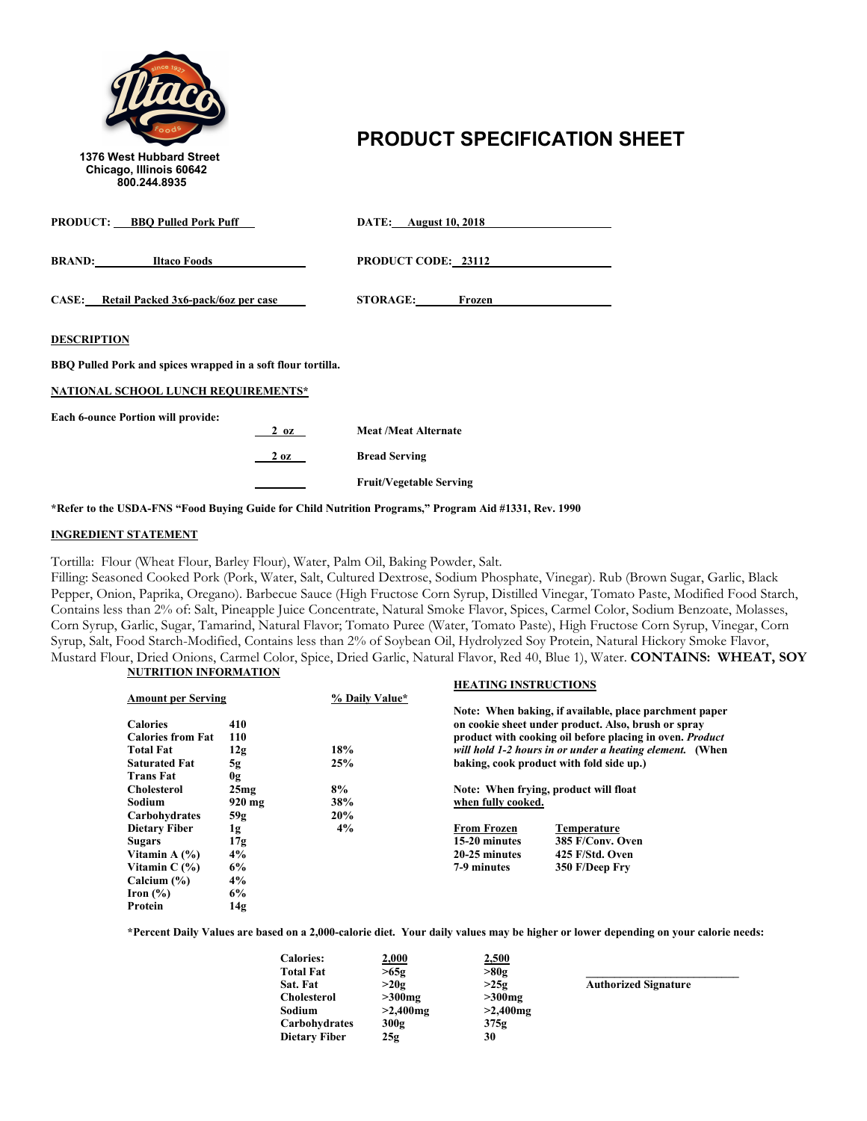

# 1376 West Hubbard Street<br>1376 West Hubbard Street

| <b>PRODUCT:</b> BBQ Pulled Pork Puff                         |                | <b>DATE:</b> August 10, 2018   |
|--------------------------------------------------------------|----------------|--------------------------------|
| <b>BRAND:</b> Iltaco Foods                                   |                | <b>PRODUCT CODE: 23112</b>     |
| CASE: Retail Packed 3x6-pack/6oz per case                    |                | <b>STORAGE:</b><br>Frozen      |
| <b>DESCRIPTION</b>                                           |                |                                |
| BBQ Pulled Pork and spices wrapped in a soft flour tortilla. |                |                                |
| <b>NATIONAL SCHOOL LUNCH REQUIREMENTS*</b>                   |                |                                |
| <b>Each 6-ounce Portion will provide:</b>                    | $2 \text{ oz}$ | <b>Meat /Meat Alternate</b>    |
|                                                              | $2 \text{ oz}$ | <b>Bread Serving</b>           |
|                                                              |                | <b>Fruit/Vegetable Serving</b> |

**\*Refer to the USDA-FNS "Food Buying Guide for Child Nutrition Programs," Program Aid #1331, Rev. 1990**

### **INGREDIENT STATEMENT**

Tortilla: Flour (Wheat Flour, Barley Flour), Water, Palm Oil, Baking Powder, Salt.

Filling: Seasoned Cooked Pork (Pork, Water, Salt, Cultured Dextrose, Sodium Phosphate, Vinegar). Rub (Brown Sugar, Garlic, Black Pepper, Onion, Paprika, Oregano). Barbecue Sauce (High Fructose Corn Syrup, Distilled Vinegar, Tomato Paste, Modified Food Starch, Contains less than 2% of: Salt, Pineapple Juice Concentrate, Natural Smoke Flavor, Spices, Carmel Color, Sodium Benzoate, Molasses, Corn Syrup, Garlic, Sugar, Tamarind, Natural Flavor; Tomato Puree (Water, Tomato Paste), High Fructose Corn Syrup, Vinegar, Corn Syrup, Salt, Food Starch-Modified, Contains less than 2% of Soybean Oil, Hydrolyzed Soy Protein, Natural Hickory Smoke Flavor, Mustard Flour, Dried Onions, Carmel Color, Spice, Dried Garlic, Natural Flavor, Red 40, Blue 1), Water. **CONTAINS: WHEAT, SOY NUTRITION INFORMATION**

| <b>Amount per Serving</b> | % Daily Value* |                                          |                                                                                                                                                                           |
|---------------------------|----------------|------------------------------------------|---------------------------------------------------------------------------------------------------------------------------------------------------------------------------|
| 410<br>110                |                |                                          | Note: When baking, if available, place parchment paper<br>on cookie sheet under product. Also, brush or spray<br>product with cooking oil before placing in oven. Product |
| 12g                       |                |                                          | will hold 1-2 hours in or under a heating element. (When                                                                                                                  |
| 5g                        | 25%            | baking, cook product with fold side up.) |                                                                                                                                                                           |
| 0g                        |                |                                          |                                                                                                                                                                           |
| 25mg                      | 8%             |                                          | Note: When frying, product will float                                                                                                                                     |
| $920 \text{ mg}$          | 38%            | when fully cooked.                       |                                                                                                                                                                           |
| 59g                       | 20%            |                                          |                                                                                                                                                                           |
|                           | 4%             | <b>From Frozen</b>                       | Temperature                                                                                                                                                               |
|                           |                | 15-20 minutes                            | 385 F/Conv. Oven                                                                                                                                                          |
| 4%                        |                | 20-25 minutes                            | 425 F/Std. Oven                                                                                                                                                           |
| 6%                        |                | 7-9 minutes                              | 350 F/Deep Fry                                                                                                                                                            |
| 4%                        |                |                                          |                                                                                                                                                                           |
| 6%                        |                |                                          |                                                                                                                                                                           |
| 14g                       |                |                                          |                                                                                                                                                                           |
|                           | 1g<br>17g      | 18%                                      | <b>HEATING INSTRUCTIONS</b>                                                                                                                                               |

| <u>2,000</u> | 2,500       |                             |
|--------------|-------------|-----------------------------|
| >65g         | >80g        |                             |
| >20g         | >25g        | <b>Authorized Signature</b> |
| $>300$ mg    | $>300$ mg   |                             |
| $>2,400$ mg  | $>2,400$ mg |                             |
| 300g         | 375g        |                             |
| 25g          | 30          |                             |
|              |             |                             |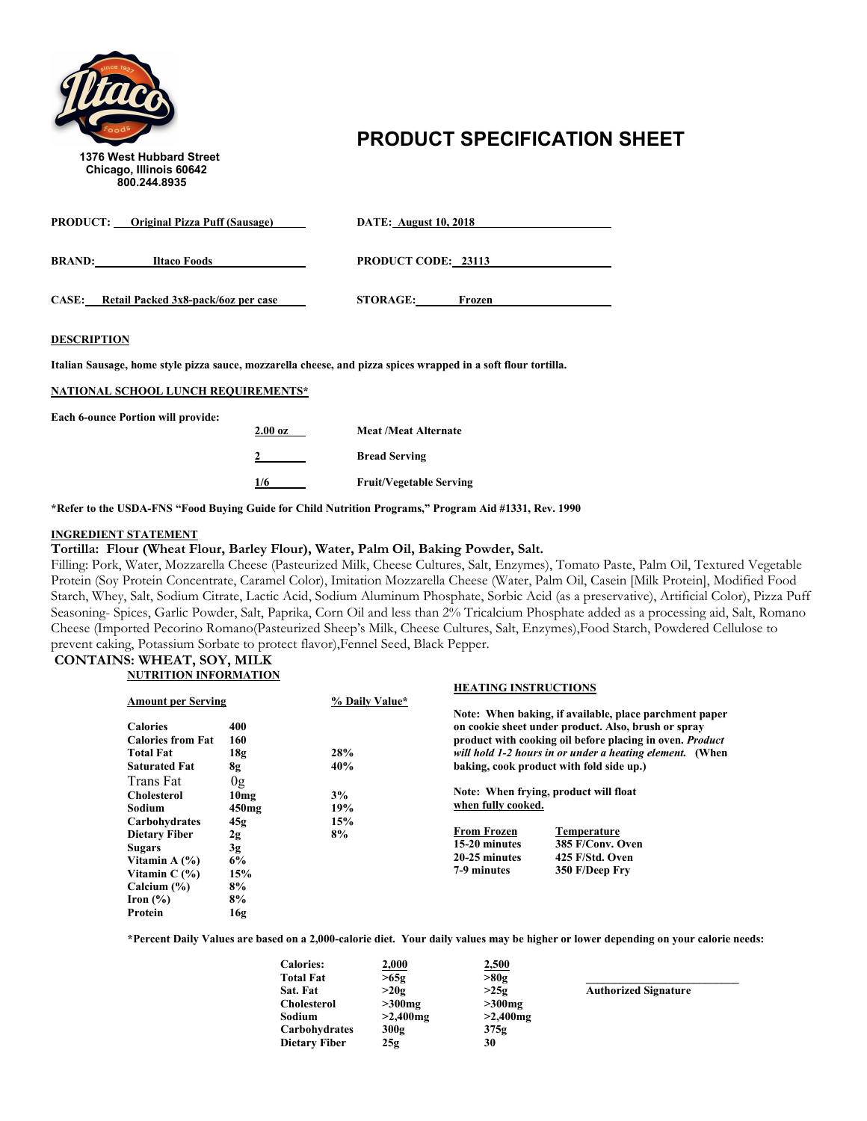

# **PRODUCT SPECIFICATION SHEET** 1376 West Hubbard Street

| <b>PRODUCT:</b> Original Pizza Puff (Sausage)       | <b>DATE:</b> August 10, 2018 |
|-----------------------------------------------------|------------------------------|
| <b>BRAND:</b><br>Iltaco Foods                       | <b>PRODUCT CODE: 23113</b>   |
| <b>CASE:</b><br>Retail Packed 3x8-pack/6oz per case | <b>STORAGE:</b><br>Frozen    |

### **DESCRIPTION**

**Italian Sausage, home style pizza sauce, mozzarella cheese, and pizza spices wrapped in a soft flour tortilla.**

#### **NATIONAL SCHOOL LUNCH REQUIREMENTS\***

**Each 6-ounce Portion will provide:**

| $2.00\,\mathrm{oz}$ | <b>Meat /Meat Alternate</b>    |
|---------------------|--------------------------------|
|                     | <b>Bread Serving</b>           |
| 1/6                 | <b>Fruit/Vegetable Serving</b> |

**\*Refer to the USDA-FNS "Food Buying Guide for Child Nutrition Programs," Program Aid #1331, Rev. 1990**

#### **INGREDIENT STATEMENT**

### **Tortilla: Flour (Wheat Flour, Barley Flour), Water, Palm Oil, Baking Powder, Salt.**

Filling: Pork, Water, Mozzarella Cheese (Pasteurized Milk, Cheese Cultures, Salt, Enzymes), Tomato Paste, Palm Oil, Textured Vegetable Protein (Soy Protein Concentrate, Caramel Color), Imitation Mozzarella Cheese (Water, Palm Oil, Casein [Milk Protein], Modified Food Starch, Whey, Salt, Sodium Citrate, Lactic Acid, Sodium Aluminum Phosphate, Sorbic Acid (as a preservative), Artificial Color), Pizza Puff Seasoning- Spices, Garlic Powder, Salt, Paprika, Corn Oil and less than 2% Tricalcium Phosphate added as a processing aid, Salt, Romano Cheese (Imported Pecorino Romano(Pasteurized Sheep's Milk, Cheese Cultures, Salt, Enzymes),Food Starch, Powdered Cellulose to prevent caking, Potassium Sorbate to protect flavor),Fennel Seed, Black Pepper.

#### **CONTAINS: WHEAT, SOY, MILK NUTRITION INFORMATION**

|                           |                  |                | <b>HEATING INSTRUCTIONS</b>           |                                                                 |
|---------------------------|------------------|----------------|---------------------------------------|-----------------------------------------------------------------|
| <b>Amount per Serving</b> |                  | % Daily Value* |                                       |                                                                 |
|                           |                  |                |                                       | Note: When baking, if available, place parchment paper          |
| <b>Calories</b>           | 400              |                |                                       | on cookie sheet under product. Also, brush or spray             |
| <b>Calories from Fat</b>  | 160              |                |                                       | product with cooking oil before placing in oven. <i>Product</i> |
| <b>Total Fat</b>          | 18g              | 28%            |                                       | will hold 1-2 hours in or under a heating element. (When        |
| <b>Saturated Fat</b>      | 8g               | 40%            |                                       | baking, cook product with fold side up.)                        |
| Trans Fat                 | 0 <sub>g</sub>   |                |                                       |                                                                 |
| <b>Cholesterol</b>        | 10 <sub>mg</sub> | 3%             | Note: When frying, product will float |                                                                 |
| Sodium                    | $450$ mg         | 19%            | when fully cooked.                    |                                                                 |
| Carbohydrates             | 45g              | 15%            |                                       |                                                                 |
| <b>Dietary Fiber</b>      | 2g               | 8%             | <b>From Frozen</b>                    | Temperature                                                     |
| <b>Sugars</b>             | 3g               |                | 15-20 minutes                         | 385 F/Conv. Oven                                                |
| Vitamin A $(%)$           | 6%               |                | 20-25 minutes                         | 425 F/Std. Oven                                                 |
| Vitamin $C(\%)$           | 15%              |                | 7-9 minutes                           | 350 F/Deep Fry                                                  |
| Calcium $(\% )$           | 8%               |                |                                       |                                                                 |
| Iron $(\% )$              | 8%               |                |                                       |                                                                 |
| Protein                   | 16g              |                |                                       |                                                                 |

| <b>Calories:</b>     | 2,000       | 2,500       |                             |
|----------------------|-------------|-------------|-----------------------------|
| <b>Total Fat</b>     | >65g        | >80g        |                             |
| Sat. Fat             | >20g        | >25g        | <b>Authorized Signature</b> |
| Cholesterol          | $>300$ mg   | $>300$ mg   |                             |
| Sodium               | $>2,400$ mg | $>2,400$ mg |                             |
| Carbohydrates        | 300g        | 375g        |                             |
| <b>Dietary Fiber</b> | 25g         | 30          |                             |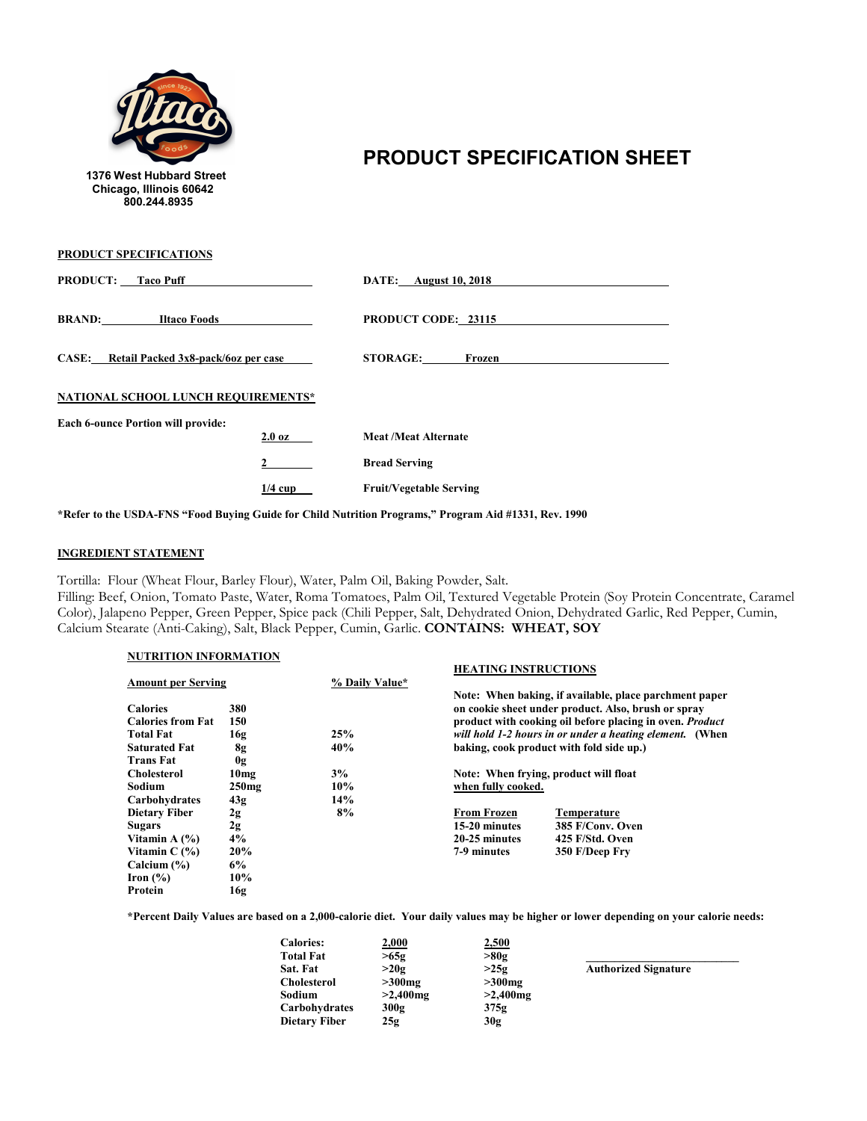

**PRODUCT SPECIFICATIONS**

## **PRODUCT SPECIFICATION SHEET**

| <b>PRODUCT:</b> Taco Puff                 |                  | <b>DATE:</b> August 10, 2018   |  |  |
|-------------------------------------------|------------------|--------------------------------|--|--|
| <b>BRAND:</b><br><b>Iltaco Foods</b>      |                  | PRODUCT CODE: 23115            |  |  |
| CASE: Retail Packed 3x8-pack/6oz per case |                  | <b>STORAGE:</b><br>Frozen      |  |  |
| NATIONAL SCHOOL LUNCH REQUIREMENTS*       |                  |                                |  |  |
| <b>Each 6-ounce Portion will provide:</b> | $2.0 \text{ oz}$ | <b>Meat /Meat Alternate</b>    |  |  |
|                                           | 2                | <b>Bread Serving</b>           |  |  |
|                                           |                  |                                |  |  |
|                                           | $1/4$ cup        | <b>Fruit/Vegetable Serving</b> |  |  |

**\*Refer to the USDA-FNS "Food Buying Guide for Child Nutrition Programs," Program Aid #1331, Rev. 1990**

### **INGREDIENT STATEMENT**

Tortilla: Flour (Wheat Flour, Barley Flour), Water, Palm Oil, Baking Powder, Salt.

Filling: Beef, Onion, Tomato Paste, Water, Roma Tomatoes, Palm Oil, Textured Vegetable Protein (Soy Protein Concentrate, Caramel Color), Jalapeno Pepper, Green Pepper, Spice pack (Chili Pepper, Salt, Dehydrated Onion, Dehydrated Garlic, Red Pepper, Cumin, Calcium Stearate (Anti-Caking), Salt, Black Pepper, Cumin, Garlic. **CONTAINS: WHEAT, SOY**

### **NUTRITION INFORMATION**

| $\frac{1}{2}$             |                  |                | <b>HEATING INSTRUCTIONS</b>              |                                                          |
|---------------------------|------------------|----------------|------------------------------------------|----------------------------------------------------------|
| <b>Amount per Serving</b> |                  | % Daily Value* |                                          |                                                          |
|                           |                  |                |                                          | Note: When baking, if available, place parchment paper   |
| <b>Calories</b>           | 380              |                |                                          | on cookie sheet under product. Also, brush or spray      |
| <b>Calories from Fat</b>  | 150              |                |                                          | product with cooking oil before placing in oven. Product |
| <b>Total Fat</b>          | 16g              | 25%            |                                          | will hold 1-2 hours in or under a heating element. (When |
| <b>Saturated Fat</b>      | 8g               | 40%            | baking, cook product with fold side up.) |                                                          |
| <b>Trans Fat</b>          | 0g               |                |                                          |                                                          |
| <b>Cholesterol</b>        | 10 <sub>mg</sub> | 3%             |                                          | Note: When frying, product will float                    |
| Sodium                    | $250$ mg         | 10%            | when fully cooked.                       |                                                          |
| Carbohydrates             | 43g              | 14%            |                                          |                                                          |
| <b>Dietary Fiber</b>      | 2g               | 8%             | <b>From Frozen</b>                       | Temperature                                              |
| <b>Sugars</b>             | 2g               |                | 15-20 minutes                            | 385 F/Conv. Oven                                         |
| Vitamin A $(\% )$         | 4%               |                | 20-25 minutes                            | 425 F/Std. Oven                                          |
| Vitamin $C(\%)$           | 20%              |                | 7-9 minutes                              | 350 F/Deep Fry                                           |
| Calcium $(\% )$           | 6%               |                |                                          |                                                          |
| Iron $(\% )$              | 10%              |                |                                          |                                                          |
| Protein                   | 16g              |                |                                          |                                                          |

| <b>Calories:</b>     | 2,000       | 2,500       |                             |
|----------------------|-------------|-------------|-----------------------------|
| <b>Total Fat</b>     | >65g        | >80g        |                             |
| Sat. Fat             | >20g        | >25g        | <b>Authorized Signature</b> |
| <b>Cholesterol</b>   | $>300$ mg   | $>300$ mg   |                             |
| Sodium               | $>2,400$ mg | $>2,400$ mg |                             |
| Carbohydrates        | 300g        | 375g        |                             |
| <b>Dietary Fiber</b> | 25g         | 30g         |                             |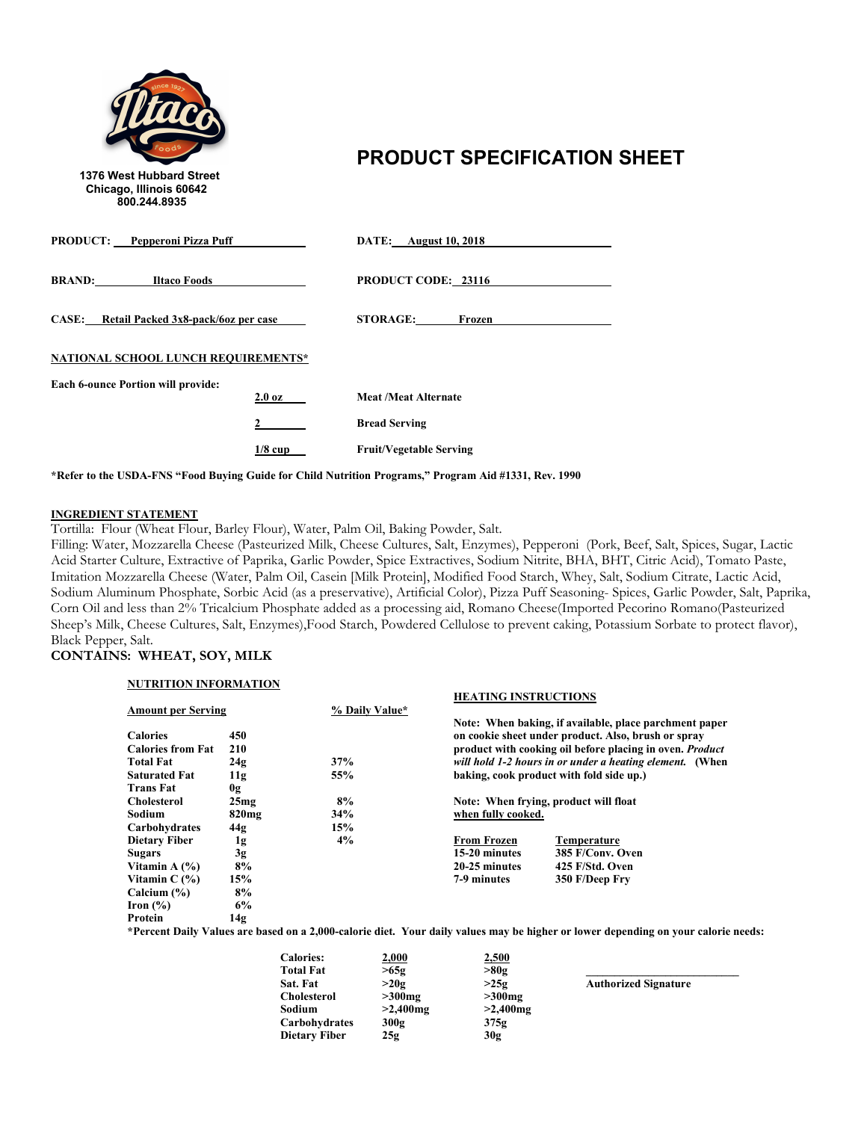

## **PRODUCT SPECIFICATION SHEET**

| <b>PRODUCT:</b> Pepperoni Pizza Puff      |                  | <b>DATE:</b> August 10, 2018   |
|-------------------------------------------|------------------|--------------------------------|
| <b>BRAND:</b><br><b>Iltaco Foods</b>      |                  | <b>PRODUCT CODE: 23116</b>     |
| CASE: Retail Packed 3x8-pack/6oz per case |                  | <b>STORAGE:</b><br>Frozen      |
| NATIONAL SCHOOL LUNCH REQUIREMENTS*       |                  |                                |
| <b>Each 6-ounce Portion will provide:</b> | $2.0\ \text{oz}$ | <b>Meat /Meat Alternate</b>    |
|                                           |                  | <b>Bread Serving</b>           |
|                                           | $1/8$ cup        | <b>Fruit/Vegetable Serving</b> |

**\*Refer to the USDA-FNS "Food Buying Guide for Child Nutrition Programs," Program Aid #1331, Rev. 1990**

### **INGREDIENT STATEMENT**

Tortilla: Flour (Wheat Flour, Barley Flour), Water, Palm Oil, Baking Powder, Salt.

Filling: Water, Mozzarella Cheese (Pasteurized Milk, Cheese Cultures, Salt, Enzymes), Pepperoni (Pork, Beef, Salt, Spices, Sugar, Lactic Acid Starter Culture, Extractive of Paprika, Garlic Powder, Spice Extractives, Sodium Nitrite, BHA, BHT, Citric Acid), Tomato Paste, Imitation Mozzarella Cheese (Water, Palm Oil, Casein [Milk Protein], Modified Food Starch, Whey, Salt, Sodium Citrate, Lactic Acid, Sodium Aluminum Phosphate, Sorbic Acid (as a preservative), Artificial Color), Pizza Puff Seasoning- Spices, Garlic Powder, Salt, Paprika, Corn Oil and less than 2% Tricalcium Phosphate added as a processing aid, Romano Cheese(Imported Pecorino Romano(Pasteurized Sheep's Milk, Cheese Cultures, Salt, Enzymes),Food Starch, Powdered Cellulose to prevent caking, Potassium Sorbate to protect flavor), Black Pepper, Salt.

### **CONTAINS: WHEAT, SOY, MILK**

| <b>NUTRITION INFORMATION</b> |                   |                |                                          |                                                                                                                                    |
|------------------------------|-------------------|----------------|------------------------------------------|------------------------------------------------------------------------------------------------------------------------------------|
|                              |                   |                | <b>HEATING INSTRUCTIONS</b>              |                                                                                                                                    |
| <b>Amount per Serving</b>    |                   | % Daily Value* |                                          |                                                                                                                                    |
|                              |                   |                |                                          | Note: When baking, if available, place parchment paper                                                                             |
| <b>Calories</b>              | 450               |                |                                          | on cookie sheet under product. Also, brush or spray                                                                                |
| <b>Calories from Fat</b>     | 210               |                |                                          | product with cooking oil before placing in oven. Product                                                                           |
| <b>Total Fat</b>             | 24g               | 37%            |                                          | will hold 1-2 hours in or under a heating element. (When                                                                           |
| <b>Saturated Fat</b>         | 11g               | 55%            | baking, cook product with fold side up.) |                                                                                                                                    |
| <b>Trans Fat</b>             | 0g                |                |                                          |                                                                                                                                    |
| <b>Cholesterol</b>           | 25mg              | 8%             |                                          | Note: When frying, product will float                                                                                              |
| Sodium                       | 820 <sub>mg</sub> | 34%            | when fully cooked.                       |                                                                                                                                    |
| Carbohydrates                | 44g               | 15%            |                                          |                                                                                                                                    |
| Dietary Fiber                | 1g                | 4%             | <b>From Frozen</b>                       | Temperature                                                                                                                        |
| <b>Sugars</b>                | 3g                |                | 15-20 minutes                            | 385 F/Conv. Oven                                                                                                                   |
| Vitamin A $(\% )$            | 8%                |                | 20-25 minutes                            | 425 F/Std. Oven                                                                                                                    |
| Vitamin $C(\%)$              | 15%               |                | 7-9 minutes                              | 350 F/Deep Fry                                                                                                                     |
| Calcium $(\% )$              | 8%                |                |                                          |                                                                                                                                    |
| Iron $(\%)$                  | 6%                |                |                                          |                                                                                                                                    |
| Protein                      | 14g               |                |                                          |                                                                                                                                    |
|                              |                   |                |                                          | *Percent Daily Values are based on a 2,000-calorie diet. Your daily values may be higher or lower depending on your calorie needs: |

| <b>Calories:</b>     | <u>2,000</u> | 2,500       |                             |
|----------------------|--------------|-------------|-----------------------------|
| <b>Total Fat</b>     | >65g         | >80g        |                             |
| Sat. Fat             | >20g         | >25g        | <b>Authorized Signature</b> |
| <b>Cholesterol</b>   | $>300$ mg    | $>300$ mg   |                             |
| Sodium               | $>2,400$ mg  | $>2,400$ mg |                             |
| Carbohydrates        | 300g         | 375g        |                             |
| <b>Dietary Fiber</b> | 25g          | 30g         |                             |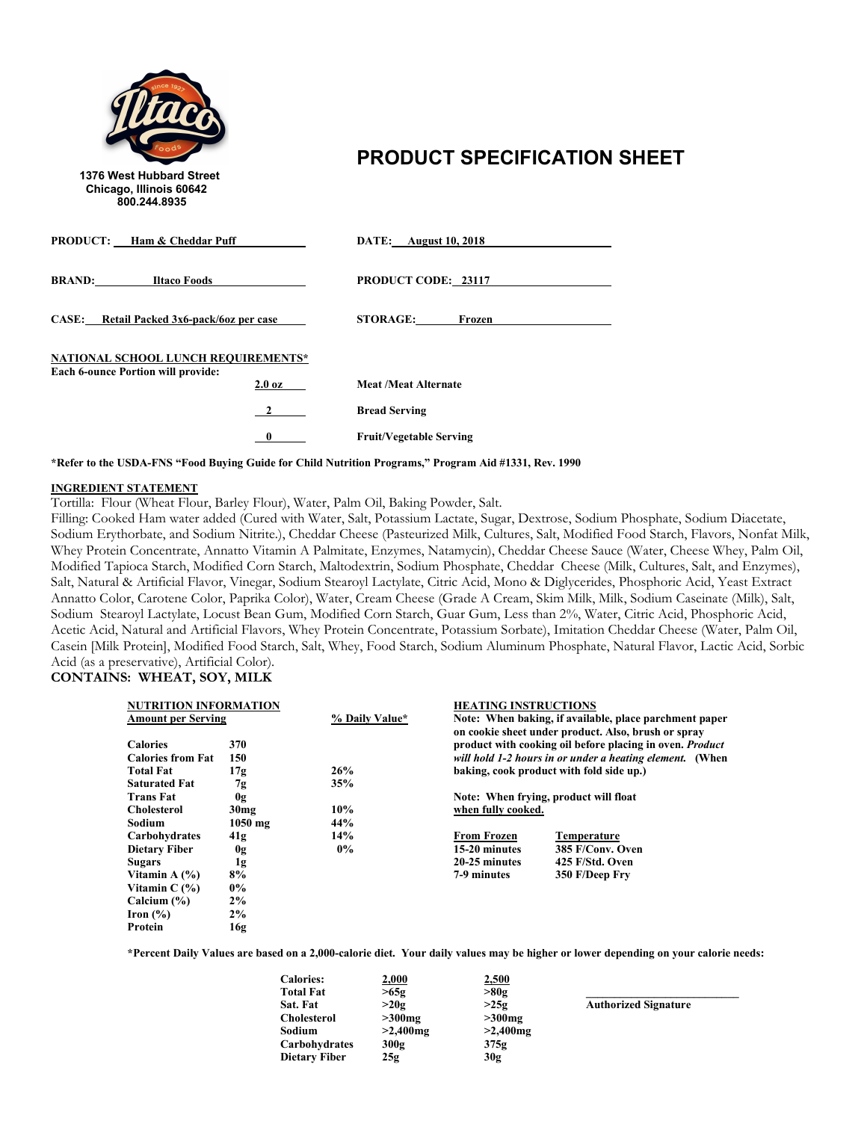

### 1376 West Hubbard Street<br>1376 West Hubbard Street

| <b>PRODUCT:</b> Ham & Cheddar Puff                                                                   | <b>DATE:</b> August 10, 2018   |
|------------------------------------------------------------------------------------------------------|--------------------------------|
| <b>BRAND:</b><br><b>Iltaco Foods</b>                                                                 | <b>PRODUCT CODE: 23117</b>     |
| CASE: Retail Packed 3x6-pack/6oz per case                                                            | <b>STORAGE:</b><br>Frozen      |
| NATIONAL SCHOOL LUNCH REQUIREMENTS*<br><b>Each 6-ounce Portion will provide:</b><br>$2.0\ \text{oz}$ | <b>Meat/Meat Alternate</b>     |
| $\mathbf{2}$                                                                                         | <b>Bread Serving</b>           |
| $\mathbf{0}$                                                                                         | <b>Fruit/Vegetable Serving</b> |

**\*Refer to the USDA-FNS "Food Buying Guide for Child Nutrition Programs," Program Aid #1331, Rev. 1990**

#### **INGREDIENT STATEMENT**

Tortilla: Flour (Wheat Flour, Barley Flour), Water, Palm Oil, Baking Powder, Salt.

Filling: Cooked Ham water added (Cured with Water, Salt, Potassium Lactate, Sugar, Dextrose, Sodium Phosphate, Sodium Diacetate, Sodium Erythorbate, and Sodium Nitrite.), Cheddar Cheese (Pasteurized Milk, Cultures, Salt, Modified Food Starch, Flavors, Nonfat Milk, Whey Protein Concentrate, Annatto Vitamin A Palmitate, Enzymes, Natamycin), Cheddar Cheese Sauce (Water, Cheese Whey, Palm Oil, Modified Tapioca Starch, Modified Corn Starch, Maltodextrin, Sodium Phosphate, Cheddar Cheese (Milk, Cultures, Salt, and Enzymes), Salt, Natural & Artificial Flavor, Vinegar, Sodium Stearoyl Lactylate, Citric Acid, Mono & Diglycerides, Phosphoric Acid, Yeast Extract Annatto Color, Carotene Color, Paprika Color), Water, Cream Cheese (Grade A Cream, Skim Milk, Milk, Sodium Caseinate (Milk), Salt, Sodium Stearoyl Lactylate, Locust Bean Gum, Modified Corn Starch, Guar Gum, Less than 2%, Water, Citric Acid, Phosphoric Acid, Acetic Acid, Natural and Artificial Flavors, Whey Protein Concentrate, Potassium Sorbate), Imitation Cheddar Cheese (Water, Palm Oil, Casein [Milk Protein], Modified Food Starch, Salt, Whey, Food Starch, Sodium Aluminum Phosphate, Natural Flavor, Lactic Acid, Sorbic Acid (as a preservative), Artificial Color).

### **CONTAINS: WHEAT, SOY, MILK**

| <b>NUTRITION INFORMATION</b> |                  |                | <b>HEATING INSTRUCTIONS</b>                            |                                                                 |  |
|------------------------------|------------------|----------------|--------------------------------------------------------|-----------------------------------------------------------------|--|
| <b>Amount per Serving</b>    |                  | % Daily Value* | Note: When baking, if available, place parchment paper |                                                                 |  |
|                              |                  |                |                                                        | on cookie sheet under product. Also, brush or spray             |  |
| <b>Calories</b>              | 370              |                |                                                        | product with cooking oil before placing in oven. <i>Product</i> |  |
| <b>Calories from Fat</b>     | 150              |                |                                                        | will hold 1-2 hours in or under a heating element. (When        |  |
| <b>Total Fat</b>             | 17g              | 26%            |                                                        | baking, cook product with fold side up.)                        |  |
| <b>Saturated Fat</b>         | 7g               | 35%            |                                                        |                                                                 |  |
| <b>Trans Fat</b>             | 0g               |                | Note: When frying, product will float                  |                                                                 |  |
| <b>Cholesterol</b>           | 30 <sub>mg</sub> | 10%            | when fully cooked.                                     |                                                                 |  |
| Sodium                       | $1050$ mg        | 44%            |                                                        |                                                                 |  |
| Carbohydrates                | 41g              | 14%            | <b>From Frozen</b>                                     | <b>Temperature</b>                                              |  |
| <b>Dietary Fiber</b>         | 0g               | $0\%$          | 15-20 minutes                                          | 385 F/Conv. Oven                                                |  |
| <b>Sugars</b>                | 1g               |                | 20-25 minutes                                          | 425 F/Std. Oven                                                 |  |
| Vitamin A $(%)$              | 8%               |                | 7-9 minutes                                            | 350 F/Deep Fry                                                  |  |
| Vitamin $C(\%)$              | $0\%$            |                |                                                        |                                                                 |  |
| Calcium $(\% )$              | 2%               |                |                                                        |                                                                 |  |
| Iron $(\% )$                 | 2%               |                |                                                        |                                                                 |  |
| Protein                      | 16g              |                |                                                        |                                                                 |  |
|                              |                  |                |                                                        |                                                                 |  |

| <b>Calories:</b>     | 2,000       | 2,500       |                             |
|----------------------|-------------|-------------|-----------------------------|
| <b>Total Fat</b>     | >65g        | >80g        |                             |
| Sat. Fat             | >20g        | >25g        | <b>Authorized Signature</b> |
| <b>Cholesterol</b>   | $>300$ mg   | $>300$ mg   |                             |
| Sodium               | $>2,400$ mg | $>2,400$ mg |                             |
| Carbohydrates        | 300g        | 375g        |                             |
| <b>Dietary Fiber</b> | 25g         | 30g         |                             |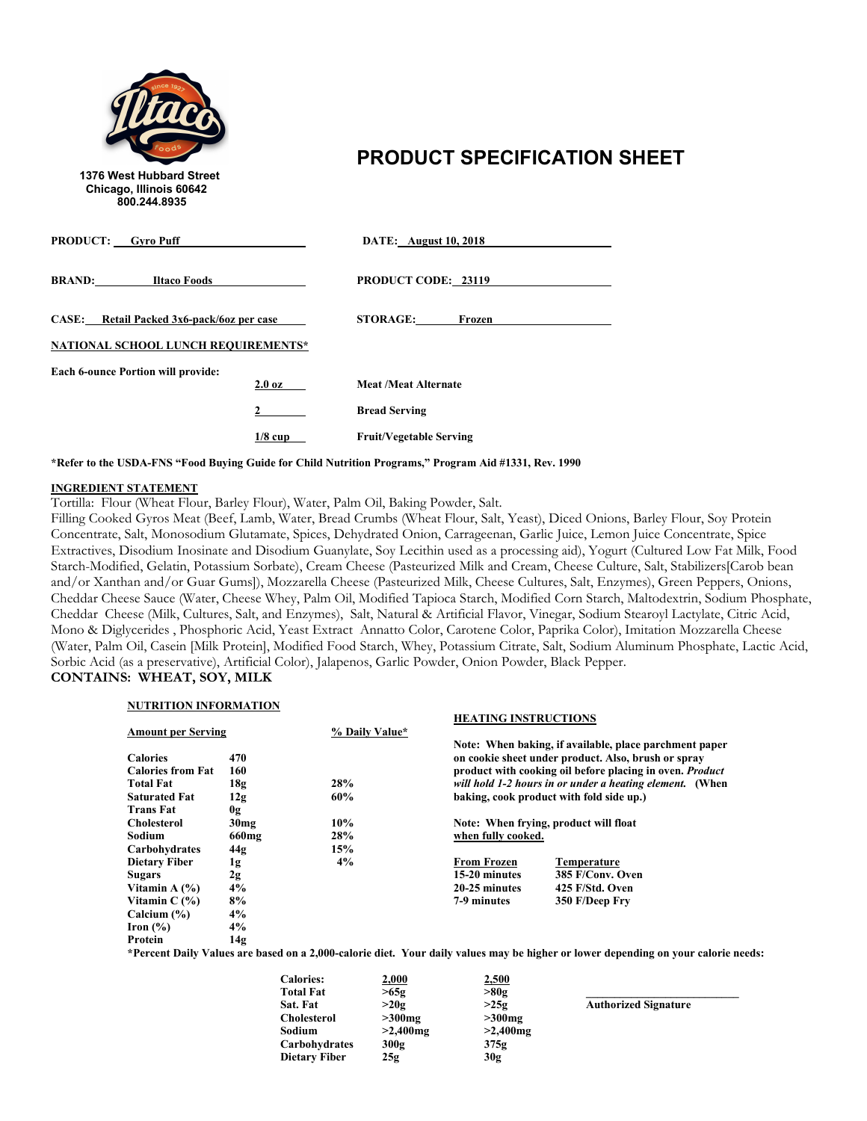

**\*Refer to the USDA-FNS "Food Buying Guide for Child Nutrition Programs," Program Aid #1331, Rev. 1990**

#### **INGREDIENT STATEMENT**

Tortilla: Flour (Wheat Flour, Barley Flour), Water, Palm Oil, Baking Powder, Salt.

Filling Cooked Gyros Meat (Beef, Lamb, Water, Bread Crumbs (Wheat Flour, Salt, Yeast), Diced Onions, Barley Flour, Soy Protein Concentrate, Salt, Monosodium Glutamate, Spices, Dehydrated Onion, Carrageenan, Garlic Juice, Lemon Juice Concentrate, Spice Extractives, Disodium Inosinate and Disodium Guanylate, Soy Lecithin used as a processing aid), Yogurt (Cultured Low Fat Milk, Food Starch-Modified, Gelatin, Potassium Sorbate), Cream Cheese (Pasteurized Milk and Cream, Cheese Culture, Salt, Stabilizers[Carob bean and/or Xanthan and/or Guar Gums]), Mozzarella Cheese (Pasteurized Milk, Cheese Cultures, Salt, Enzymes), Green Peppers, Onions, Cheddar Cheese Sauce (Water, Cheese Whey, Palm Oil, Modified Tapioca Starch, Modified Corn Starch, Maltodextrin, Sodium Phosphate, Cheddar Cheese (Milk, Cultures, Salt, and Enzymes), Salt, Natural & Artificial Flavor, Vinegar, Sodium Stearoyl Lactylate, Citric Acid, Mono & Diglycerides , Phosphoric Acid, Yeast Extract Annatto Color, Carotene Color, Paprika Color), Imitation Mozzarella Cheese (Water, Palm Oil, Casein [Milk Protein], Modified Food Starch, Whey, Potassium Citrate, Salt, Sodium Aluminum Phosphate, Lactic Acid, Sorbic Acid (as a preservative), Artificial Color), Jalapenos, Garlic Powder, Onion Powder, Black Pepper. **CONTAINS: WHEAT, SOY, MILK**

### **NUTRITION INFORMATION**

|                                                  |                   |                | <b>HEATING INSTRUCTIONS</b>              |                                                                 |  |
|--------------------------------------------------|-------------------|----------------|------------------------------------------|-----------------------------------------------------------------|--|
| <b>Amount per Serving</b>                        |                   | % Daily Value* |                                          |                                                                 |  |
|                                                  |                   |                |                                          | Note: When baking, if available, place parchment paper          |  |
| <b>Calories</b>                                  | 470               |                |                                          | on cookie sheet under product. Also, brush or spray             |  |
| <b>Calories from Fat</b>                         | 160               |                |                                          | product with cooking oil before placing in oven. <i>Product</i> |  |
| <b>Total Fat</b>                                 | 18g               | 28%            |                                          | will hold 1-2 hours in or under a heating element. (When        |  |
| <b>Saturated Fat</b>                             | 12g               | 60%            | baking, cook product with fold side up.) |                                                                 |  |
| <b>Trans Fat</b>                                 | 0g                |                |                                          |                                                                 |  |
| <b>Cholesterol</b>                               | 30 <sub>mg</sub>  | 10%            |                                          | Note: When frying, product will float                           |  |
| Sodium                                           | 660 <sub>mg</sub> | 28%            | when fully cooked.                       |                                                                 |  |
| Carbohydrates                                    | 44g               | 15%            |                                          |                                                                 |  |
| <b>Dietary Fiber</b>                             | 1g                | 4%             | <b>From Frozen</b>                       | Temperature                                                     |  |
| <b>Sugars</b>                                    | 2g                |                | 15-20 minutes                            | 385 F/Conv. Oven                                                |  |
| Vitamin A $(%)$                                  | 4%                |                | 20-25 minutes                            | 425 F/Std. Oven                                                 |  |
| Vitamin $C(\%)$                                  | 8%                |                | 7-9 minutes                              | 350 F/Deep Fry                                                  |  |
| Calcium $(\% )$                                  | 4%                |                |                                          |                                                                 |  |
| Iron $(\%)$                                      | 4%                |                |                                          |                                                                 |  |
| Protein                                          | 14g               |                |                                          |                                                                 |  |
| $\sim$ $\sim$ $\sim$ $\sim$ $\sim$ $\sim$ $\sim$ |                   |                |                                          |                                                                 |  |

| <b>Calories:</b>     | 2,000       | 2,500       |                             |
|----------------------|-------------|-------------|-----------------------------|
| <b>Total Fat</b>     | >65g        | >80g        |                             |
| Sat. Fat             | >20g        | >25g        | <b>Authorized Signature</b> |
| <b>Cholesterol</b>   | $>300$ mg   | $>300$ mg   |                             |
| Sodium               | $>2,400$ mg | $>2,400$ mg |                             |
| Carbohydrates        | 300g        | 375g        |                             |
| <b>Dietary Fiber</b> | 25g         | 30g         |                             |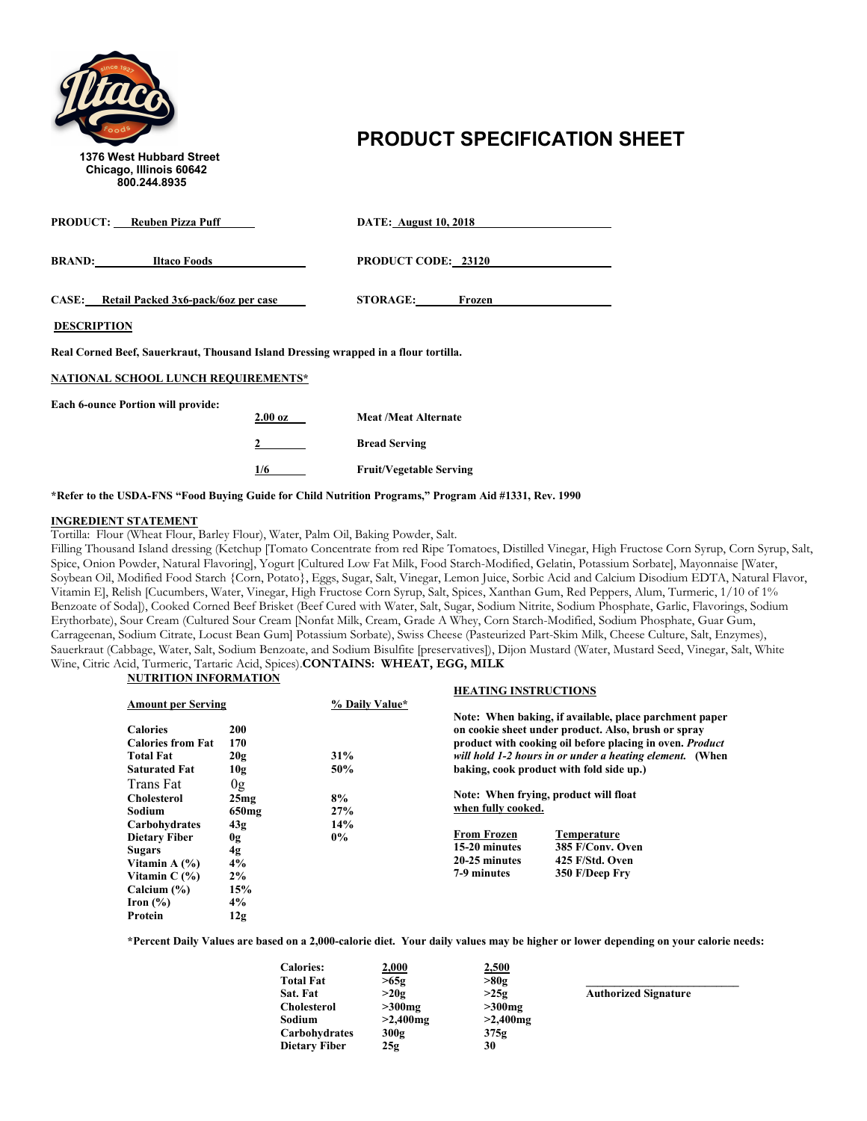

# **PRODUCT SPECIFICATION SHEET** 1376 West Hubbard Street

| <b>PRODUCT:</b> Reuben Pizza Puff                                                   | <b>DATE: August 10, 2018</b> |  |  |
|-------------------------------------------------------------------------------------|------------------------------|--|--|
| <b>BRAND:</b><br><b>Iltaco Foods</b>                                                | <b>PRODUCT CODE: 23120</b>   |  |  |
| CASE: Retail Packed 3x6-pack/6oz per case                                           | <b>STORAGE:</b><br>Frozen    |  |  |
| <b>DESCRIPTION</b>                                                                  |                              |  |  |
| Real Corned Beef, Sauerkraut, Thousand Island Dressing wrapped in a flour tortilla. |                              |  |  |
| <b>NATIONAL SCHOOL LUNCH REQUIREMENTS*</b>                                          |                              |  |  |
| <b>Each 6-ounce Portion will provide:</b>                                           |                              |  |  |

| $2.00 \text{ oz}$ | Meat /Meat Alternate           |
|-------------------|--------------------------------|
|                   | <b>Bread Serving</b>           |
| 1/6               | <b>Fruit/Vegetable Serving</b> |

#### **\*Refer to the USDA-FNS "Food Buying Guide for Child Nutrition Programs," Program Aid #1331, Rev. 1990**

#### **INGREDIENT STATEMENT**

Tortilla: Flour (Wheat Flour, Barley Flour), Water, Palm Oil, Baking Powder, Salt.

Filling Thousand Island dressing (Ketchup [Tomato Concentrate from red Ripe Tomatoes, Distilled Vinegar, High Fructose Corn Syrup, Corn Syrup, Salt, Spice, Onion Powder, Natural Flavoring], Yogurt [Cultured Low Fat Milk, Food Starch-Modified, Gelatin, Potassium Sorbate], Mayonnaise [Water, Soybean Oil, Modified Food Starch {Corn, Potato}, Eggs, Sugar, Salt, Vinegar, Lemon Juice, Sorbic Acid and Calcium Disodium EDTA, Natural Flavor, Vitamin E], Relish [Cucumbers, Water, Vinegar, High Fructose Corn Syrup, Salt, Spices, Xanthan Gum, Red Peppers, Alum, Turmeric, 1/10 of 1% Benzoate of Soda]), Cooked Corned Beef Brisket (Beef Cured with Water, Salt, Sugar, Sodium Nitrite, Sodium Phosphate, Garlic, Flavorings, Sodium Erythorbate), Sour Cream (Cultured Sour Cream [Nonfat Milk, Cream, Grade A Whey, Corn Starch-Modified, Sodium Phosphate, Guar Gum, Carrageenan, Sodium Citrate, Locust Bean Gum] Potassium Sorbate), Swiss Cheese (Pasteurized Part-Skim Milk, Cheese Culture, Salt, Enzymes), Sauerkraut (Cabbage, Water, Salt, Sodium Benzoate, and Sodium Bisulfite [preservatives]), Dijon Mustard (Water, Mustard Seed, Vinegar, Salt, White Wine, Citric Acid, Turmeric, Tartaric Acid, Spices).**CONTAINS: WHEAT, EGG, MILK**

### **NUTRITION INFORMATION**

|                                                                                                                  |                                            |                           | <b>HEATING INSTRUCTIONS</b>                                                               |                                                                                                                                                                                                                                                                                          |
|------------------------------------------------------------------------------------------------------------------|--------------------------------------------|---------------------------|-------------------------------------------------------------------------------------------|------------------------------------------------------------------------------------------------------------------------------------------------------------------------------------------------------------------------------------------------------------------------------------------|
| <b>Amount per Serving</b>                                                                                        |                                            | % Daily Value*            |                                                                                           |                                                                                                                                                                                                                                                                                          |
| <b>Calories</b><br><b>Calories from Fat</b><br><b>Total Fat</b><br><b>Saturated Fat</b><br>Trans Fat             | 200<br>170<br>20g<br>10g<br>0 <sub>g</sub> | 31%<br>50%                |                                                                                           | Note: When baking, if available, place parchment paper<br>on cookie sheet under product. Also, brush or spray<br>product with cooking oil before placing in oven. <i>Product</i><br>will hold 1-2 hours in or under a heating element. (When<br>baking, cook product with fold side up.) |
| <b>Cholesterol</b><br><b>Sodium</b><br>Carbohydrates<br><b>Dietary Fiber</b><br><b>Sugars</b><br>Vitamin A $(%)$ | 25mg<br>650mg<br>43g<br>0g<br>4g<br>4%     | 8%<br>27%<br>14%<br>$0\%$ | when fully cooked.<br><b>From Frozen</b><br>15-20 minutes<br>20-25 minutes<br>7-9 minutes | Note: When frying, product will float<br>Temperature<br>385 F/Conv. Oven<br>425 F/Std. Oven                                                                                                                                                                                              |
| Vitamin $C(\%)$<br>Calcium $(\% )$<br>Iron $(\% )$<br>Protein                                                    | 2%<br>15%<br>4%<br>12g                     |                           |                                                                                           | 350 F/Deep Fry                                                                                                                                                                                                                                                                           |

| <b>Calories:</b> | 2,000       | 2,500       |                             |
|------------------|-------------|-------------|-----------------------------|
| <b>Total Fat</b> | >65g        | >80g        |                             |
| Sat. Fat         | >20g        | >25g        | <b>Authorized Signature</b> |
| Cholesterol      | $>300$ mg   | $>300$ mg   |                             |
| Sodium           | $>2,400$ mg | $>2,400$ mg |                             |
| Carbohvdrates    | 300g        | 375g        |                             |
| Dietary Fiber    | 25g         | 30          |                             |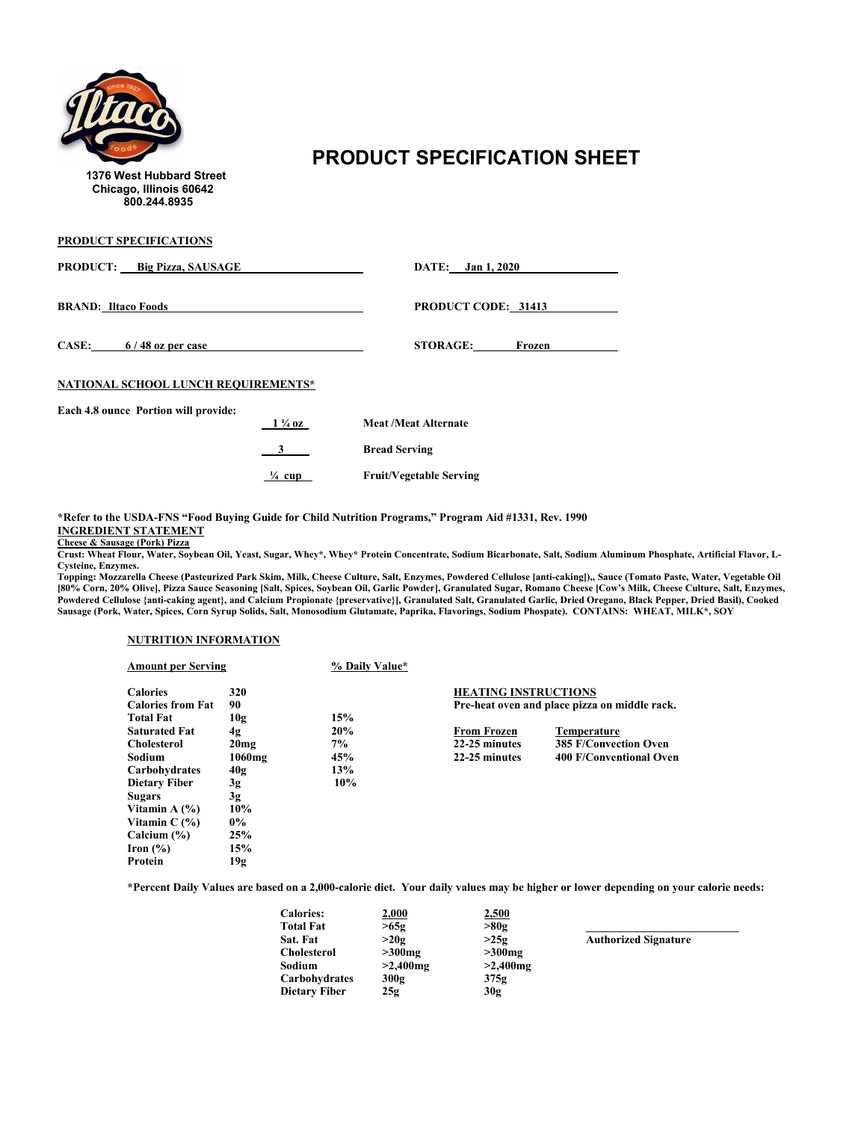

## **PRODUCT SPECIFICATION SHEET** 1376 West Hubbard Street

**PRODUCT SPECIFICATIONS**

| <b>PRODUCT:</b> Big Pizza, SAUSAGE   |                   | DATE: Jan 1, 2020              |
|--------------------------------------|-------------------|--------------------------------|
| <b>BRAND: Iltaco Foods</b>           |                   | <b>PRODUCT CODE: 31413</b>     |
| CASE: $6/48$ oz per case             |                   | <b>STORAGE:</b><br>Frozen      |
| NATIONAL SCHOOL LUNCH REQUIREMENTS*  |                   |                                |
| Each 4.8 ounce Portion will provide: |                   |                                |
|                                      | $1\frac{1}{4}$ oz | <b>Meat /Meat Alternate</b>    |
|                                      |                   | <b>Bread Serving</b>           |
|                                      | $\frac{1}{4}$ cup | <b>Fruit/Vegetable Serving</b> |

**\*Refer to the USDA-FNS "Food Buying Guide for Child Nutrition Programs," Program Aid #1331, Rev. 1990 INGREDIENT STATEMENT**

**Cheese & Sausage (Pork) Pizza**

**Crust: Wheat Flour, Water, Soybean Oil, Yeast, Sugar, Whey\*, Whey\* Protein Concentrate, Sodium Bicarbonate, Salt, Sodium Aluminum Phosphate, Artificial Flavor, L-Cysteine, Enzymes.**

**Topping: Mozzarella Cheese (Pasteurized Park Skim, Milk, Cheese Culture, Salt, Enzymes, Powdered Cellulose [anti-caking]),, Sauce (Tomato Paste, Water, Vegetable Oil [80% Corn, 20% Olive], Pizza Sauce Seasoning [Salt, Spices, Soybean Oil, Garlic Powder], Granulated Sugar, Romano Cheese [Cow's Milk, Cheese Culture, Salt, Enzymes, Powdered Cellulose {anti-caking agent}, and Calcium Propionate {preservative}], Granulated Salt, Granulated Garlic, Dried Oregano, Black Pepper, Dried Basil), Cooked Sausage (Pork, Water, Spices, Corn Syrup Solids, Salt, Monosodium Glutamate, Paprika, Flavorings, Sodium Phospate). CONTAINS: WHEAT, MILK\*, SOY**

#### **NUTRITION INFORMATION**

| <b>Amount per Serving</b>                   |           | % Daily Value* |                             |                                               |
|---------------------------------------------|-----------|----------------|-----------------------------|-----------------------------------------------|
| <b>Calories</b><br><b>Calories from Fat</b> | 320<br>90 |                | <b>HEATING INSTRUCTIONS</b> | Pre-heat oven and place pizza on middle rack. |
| <b>Total Fat</b>                            | 10g       | 15%            |                             |                                               |
| <b>Saturated Fat</b>                        | 4g        | 20%            | <b>From Frozen</b>          | Temperature                                   |
| <b>Cholesterol</b>                          | 20mg      | 7%             | 22-25 minutes               | <b>385 F/Convection Oven</b>                  |
| Sodium                                      | $1060$ mg | 45%            | 22-25 minutes               | 400 F/Conventional Oven                       |
| Carbohydrates                               | 40g       | 13%            |                             |                                               |
| <b>Dietary Fiber</b>                        | 3g        | 10%            |                             |                                               |
| <b>Sugars</b>                               | 3g        |                |                             |                                               |
| Vitamin A $(\% )$                           | 10%       |                |                             |                                               |
| Vitamin $C(\%)$                             | $0\%$     |                |                             |                                               |
| Calcium $(\% )$                             | 25%       |                |                             |                                               |
| Iron $(\% )$                                | 15%       |                |                             |                                               |
| Protein                                     | 19g       |                |                             |                                               |

| <b>Calories:</b>   | 2,000       | 2,500       |                             |
|--------------------|-------------|-------------|-----------------------------|
| <b>Total Fat</b>   | >65g        | >80g        |                             |
| Sat. Fat           | >20g        | >25g        | <b>Authorized Signature</b> |
| <b>Cholesterol</b> | $>300$ mg   | $>300$ mg   |                             |
| Sodium             | $>2,400$ mg | $>2,400$ mg |                             |
| Carbohydrates      | 300g        | 375g        |                             |
| Dietary Fiber      | 25g         | 30g         |                             |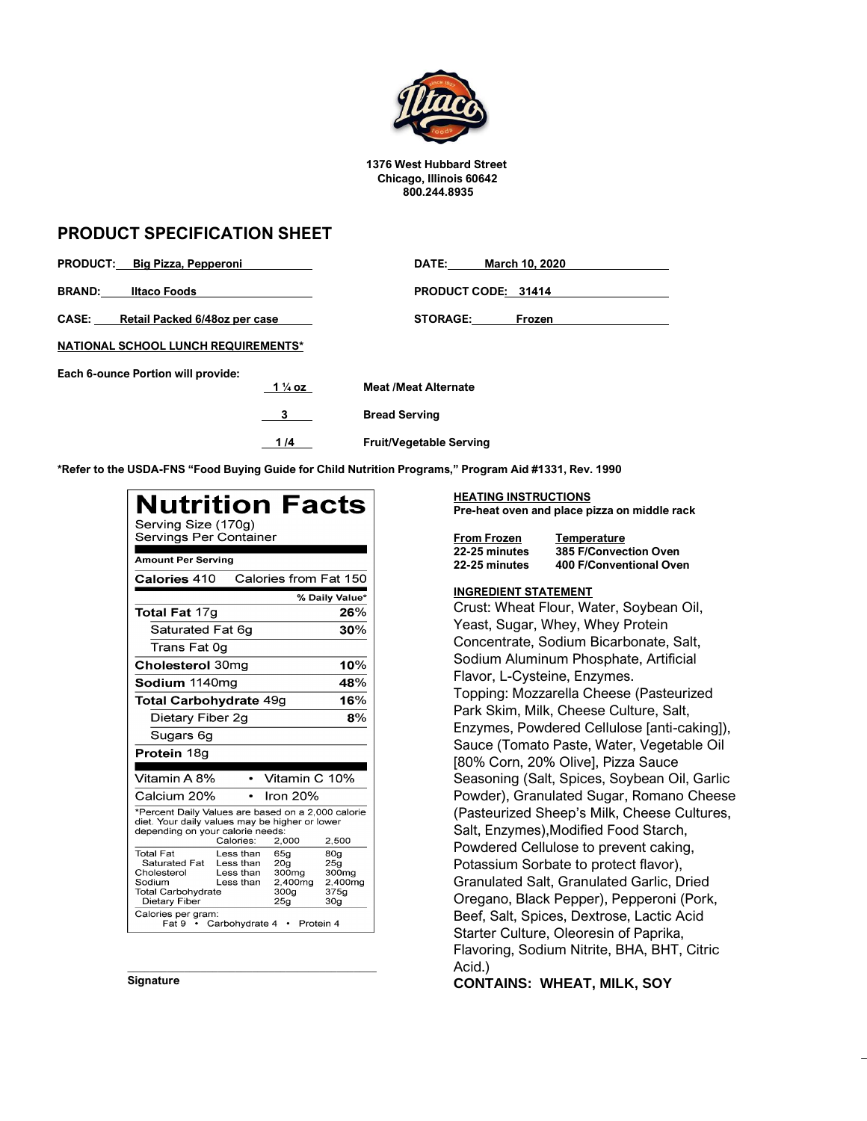

**1376 West Hubbard Street Chicago, Illinois 60642 800.244.8935**

### **PRODUCT SPECIFICATION SHEET**

| PRODUCT: Big Pizza, Pepperoni                 |                    | DATE:                          | March 10, 2020      |
|-----------------------------------------------|--------------------|--------------------------------|---------------------|
| <b>BRAND:</b><br><b>Iltaco Foods</b>          |                    |                                | PRODUCT CODE: 31414 |
| <b>CASE:</b><br>Retail Packed 6/48oz per case |                    | <b>STORAGE:</b>                | Frozen              |
| <b>NATIONAL SCHOOL LUNCH REQUIREMENTS*</b>    |                    |                                |                     |
| Each 6-ounce Portion will provide:            |                    |                                |                     |
|                                               | 1 $\frac{1}{4}$ oz | <b>Meat /Meat Alternate</b>    |                     |
|                                               | 3                  | <b>Bread Serving</b>           |                     |
|                                               | 1/4                | <b>Fruit/Vegetable Serving</b> |                     |

**\*Refer to the USDA-FNS "Food Buying Guide for Child Nutrition Programs," Program Aid #1331, Rev. 1990**

| <b>Nutrition Facts</b><br>Serving Size (170g)<br>Servings Per Container                                                                                                                                                                                                                            |                                                                       |
|----------------------------------------------------------------------------------------------------------------------------------------------------------------------------------------------------------------------------------------------------------------------------------------------------|-----------------------------------------------------------------------|
| <b>Amount Per Serving</b>                                                                                                                                                                                                                                                                          |                                                                       |
| Calories from Fat 150<br>Calories 410                                                                                                                                                                                                                                                              |                                                                       |
|                                                                                                                                                                                                                                                                                                    | % Daily Value*                                                        |
| <b>Total Fat 17g</b>                                                                                                                                                                                                                                                                               | 26%                                                                   |
| Saturated Fat 6g                                                                                                                                                                                                                                                                                   | 30%                                                                   |
| Trans Fat 0g                                                                                                                                                                                                                                                                                       |                                                                       |
| <b>Cholesterol 30mg</b>                                                                                                                                                                                                                                                                            | 10%                                                                   |
| Sodium 1140ma                                                                                                                                                                                                                                                                                      | 48%                                                                   |
| <b>Total Carbohydrate 49g</b>                                                                                                                                                                                                                                                                      | 16%                                                                   |
| Dietary Fiber 2q                                                                                                                                                                                                                                                                                   | 8%                                                                    |
| Sugars 6g                                                                                                                                                                                                                                                                                          |                                                                       |
| Protein 18g                                                                                                                                                                                                                                                                                        |                                                                       |
| Vitamin A 8%<br>Vitamin C 10%                                                                                                                                                                                                                                                                      |                                                                       |
| Calcium 20%<br>Iron 20%                                                                                                                                                                                                                                                                            |                                                                       |
| *Percent Daily Values are based on a 2,000 calorie<br>diet. Your daily values may be higher or lower<br>depending on your calorie needs:<br>Calories:<br>2,000                                                                                                                                     | 2,500                                                                 |
| <b>Total Fat</b><br>Less than<br>65a<br>Saturated Fat<br>Less than<br>20 <sub>q</sub><br>Cholesterol<br>Less than<br>300mg<br>Sodium<br>Less than<br>2,400mg<br><b>Total Carbohydrate</b><br>300g<br>Dietary Fiber<br>25 <sub>q</sub><br>Calories per gram:<br>Fat 9 • Carbohydrate 4<br>Protein 4 | 80a<br>25a<br>300mg<br>2,400mg<br>375 <sub>q</sub><br>30 <sub>g</sub> |

**\_\_\_\_\_\_\_\_\_\_\_\_\_\_\_\_\_\_\_\_\_\_\_\_\_\_\_\_\_\_\_\_\_\_\_\_\_\_\_\_\_\_\_\_**

**Signature**

### **HEATING INSTRUCTIONS Pre-heat oven and place pizza on middle rack**

| <b>From Frozen</b> | Temperature                  |
|--------------------|------------------------------|
| 22-25 minutes      | <b>385 F/Convection Oven</b> |
| 22-25 minutes      | 400 F/Conventional Oven      |

### **INGREDIENT STATEMENT**

Crust: Wheat Flour, Water, Soybean Oil, Yeast, Sugar, Whey, Whey Protein Concentrate, Sodium Bicarbonate, Salt, Sodium Aluminum Phosphate, Artificial Flavor, L-Cysteine, Enzymes. Topping: Mozzarella Cheese (Pasteurized Park Skim, Milk, Cheese Culture, Salt, Enzymes, Powdered Cellulose [anti-caking]), Sauce (Tomato Paste, Water, Vegetable Oil [80% Corn, 20% Olive], Pizza Sauce Seasoning (Salt, Spices, Soybean Oil, Garlic Powder), Granulated Sugar, Romano Cheese (Pasteurized Sheep's Milk, Cheese Cultures, Salt, Enzymes),Modified Food Starch, Powdered Cellulose to prevent caking, Potassium Sorbate to protect flavor), Granulated Salt, Granulated Garlic, Dried Oregano, Black Pepper), Pepperoni (Pork, Beef, Salt, Spices, Dextrose, Lactic Acid Starter Culture, Oleoresin of Paprika, Flavoring, Sodium Nitrite, BHA, BHT, Citric Acid.)

**CONTAINS: WHEAT, MILK, SOY**

**\_**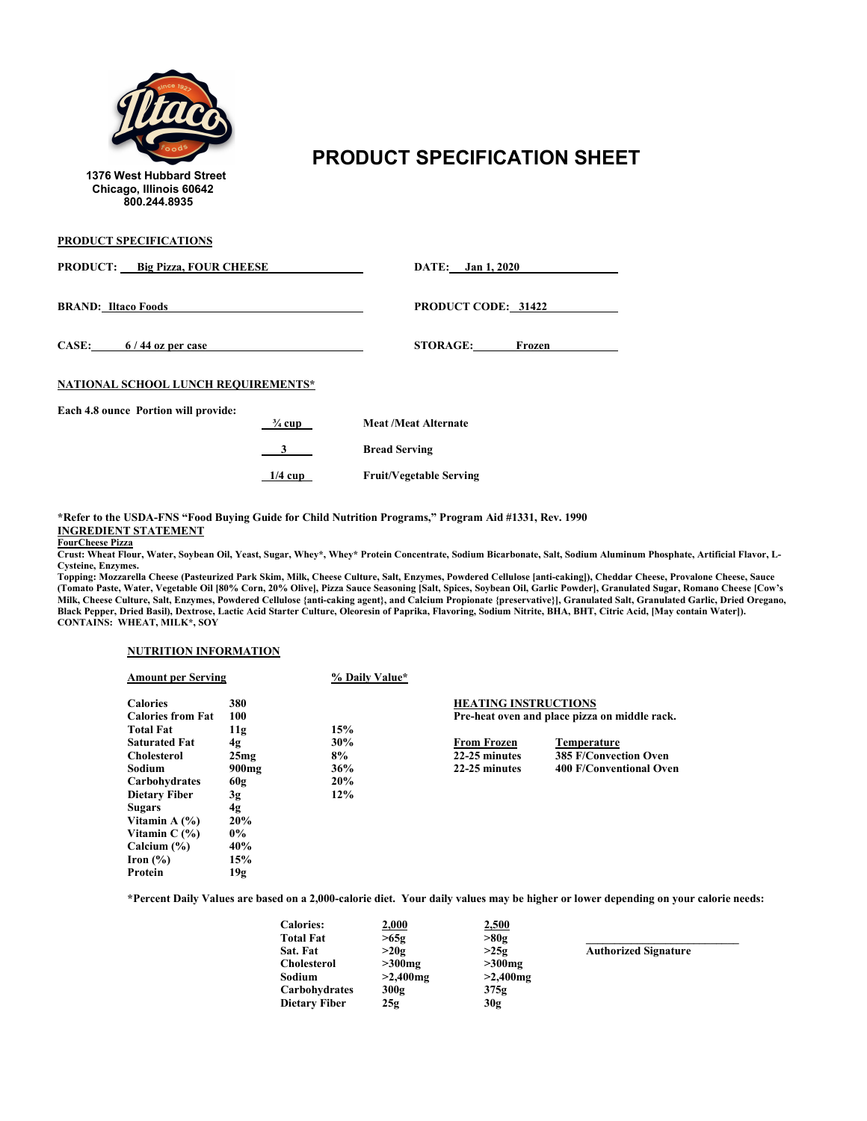

## **PRODUCT SPECIFICATION SHEET**<br>1376 West Hubbard Street

**PRODUCT SPECIFICATIONS**

| <b>PRODUCT:</b> Big Pizza, FOUR CHEESE |                   | DATE: Jan 1, 2020              |  |
|----------------------------------------|-------------------|--------------------------------|--|
| <b>BRAND:</b> Iltaco Foods             |                   | <b>PRODUCT CODE: 31422</b>     |  |
| CASE: $6/44$ oz per case               |                   | <b>STORAGE:</b><br>Frozen      |  |
| NATIONAL SCHOOL LUNCH REQUIREMENTS*    |                   |                                |  |
| Each 4.8 ounce Portion will provide:   | $\frac{3}{4}$ cup | <b>Meat /Meat Alternate</b>    |  |
|                                        |                   | <b>Bread Serving</b>           |  |
|                                        | $1/4$ cup         | <b>Fruit/Vegetable Serving</b> |  |

**\*Refer to the USDA-FNS "Food Buying Guide for Child Nutrition Programs," Program Aid #1331, Rev. 1990 INGREDIENT STATEMENT**

**FourCheese Pizza**

**Crust: Wheat Flour, Water, Soybean Oil, Yeast, Sugar, Whey\*, Whey\* Protein Concentrate, Sodium Bicarbonate, Salt, Sodium Aluminum Phosphate, Artificial Flavor, L-Cysteine, Enzymes.** 

**Topping: Mozzarella Cheese (Pasteurized Park Skim, Milk, Cheese Culture, Salt, Enzymes, Powdered Cellulose [anti-caking]), Cheddar Cheese, Provalone Cheese, Sauce (Tomato Paste, Water, Vegetable Oil [80% Corn, 20% Olive], Pizza Sauce Seasoning [Salt, Spices, Soybean Oil, Garlic Powder], Granulated Sugar, Romano Cheese [Cow's Milk, Cheese Culture, Salt, Enzymes, Powdered Cellulose {anti-caking agent}, and Calcium Propionate {preservative}], Granulated Salt, Granulated Garlic, Dried Oregano, Black Pepper, Dried Basil), Dextrose, Lactic Acid Starter Culture, Oleoresin of Paprika, Flavoring, Sodium Nitrite, BHA, BHT, Citric Acid, [May contain Water]). CONTAINS: WHEAT, MILK\*, SOY**

#### **NUTRITION INFORMATION**

| <b>Amount per Serving</b>                   |            | % Daily Value* |                             |                                               |
|---------------------------------------------|------------|----------------|-----------------------------|-----------------------------------------------|
| <b>Calories</b><br><b>Calories from Fat</b> | 380<br>100 |                | <b>HEATING INSTRUCTIONS</b> | Pre-heat oven and place pizza on middle rack. |
| <b>Total Fat</b>                            | 11g        | 15%            |                             |                                               |
| <b>Saturated Fat</b>                        | 4g         | 30%            | <b>From Frozen</b>          | Temperature                                   |
| <b>Cholesterol</b>                          | 25mg       | 8%             | 22-25 minutes               | <b>385 F/Convection Oven</b>                  |
| Sodium                                      | $900$ mg   | 36%            | 22-25 minutes               | 400 F/Conventional Oven                       |
| Carbohydrates                               | 60g        | 20%            |                             |                                               |
| <b>Dietary Fiber</b>                        | 3g         | 12%            |                             |                                               |
| Sugars                                      | 4g         |                |                             |                                               |
| Vitamin A $(\% )$                           | 20%        |                |                             |                                               |
| Vitamin $C(\%)$                             | $0\%$      |                |                             |                                               |
| Calcium $(\% )$                             | 40%        |                |                             |                                               |
| Iron $(\%)$                                 | 15%        |                |                             |                                               |
| Protein                                     | 19g        |                |                             |                                               |

| <b>Calories:</b>     | 2,000       | 2,500       |                             |
|----------------------|-------------|-------------|-----------------------------|
| <b>Total Fat</b>     | >65g        | >80g        |                             |
| Sat. Fat             | >20g        | >25g        | <b>Authorized Signature</b> |
| <b>Cholesterol</b>   | $>300$ mg   | $>300$ mg   |                             |
| Sodium               | $>2,400$ mg | $>2,400$ mg |                             |
| Carbohydrates        | 300g        | 375g        |                             |
| <b>Dietary Fiber</b> | 25g         | 30g         |                             |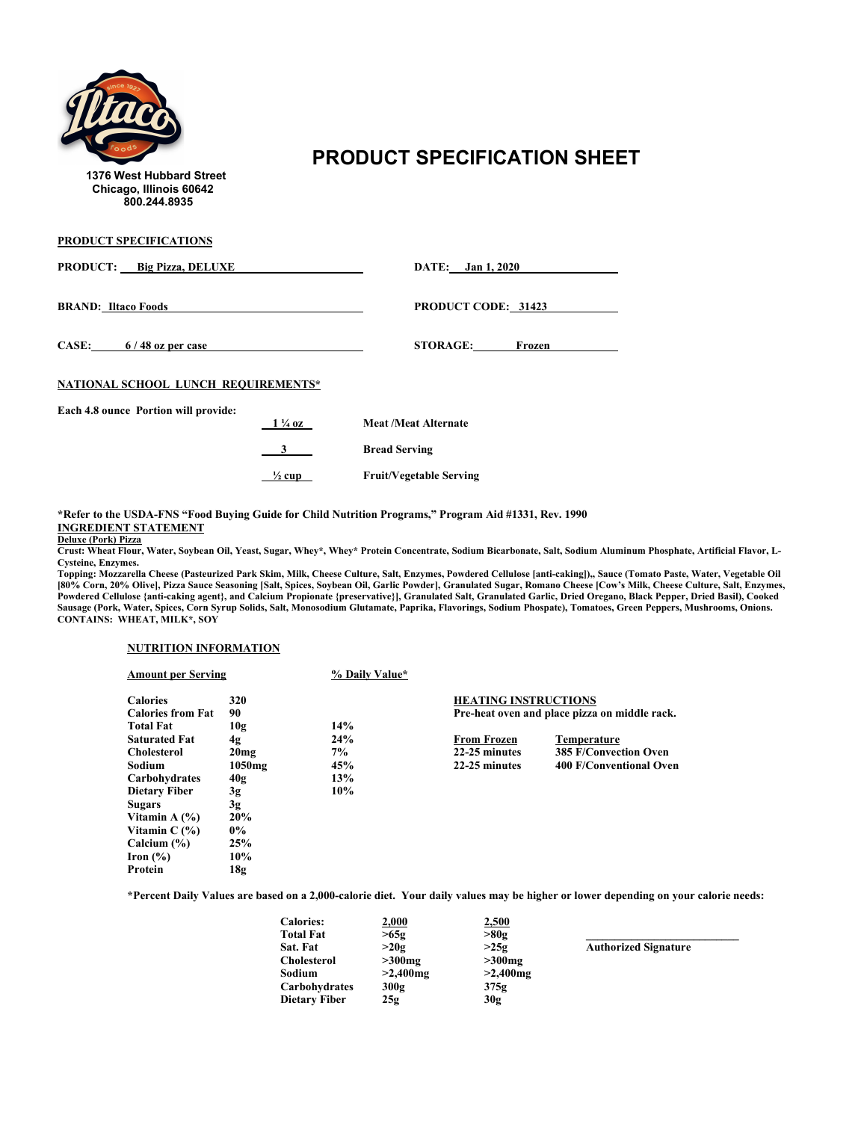

## **PRODUCT SPECIFICATION SHEET** 1376 West Hubbard Street

**PRODUCT SPECIFICATIONS**

| <b>PRODUCT:</b> Big Pizza, DELUXE    |                   | DATE: Jan 1, 2020              |
|--------------------------------------|-------------------|--------------------------------|
| <b>BRAND:</b> Iltaco Foods           |                   | <b>PRODUCT CODE: 31423</b>     |
| CASE: $6/48$ oz per case             |                   | <b>STORAGE:</b><br>Frozen      |
| NATIONAL SCHOOL LUNCH REQUIREMENTS*  |                   |                                |
| Each 4.8 ounce Portion will provide: | $1\frac{1}{4}$ oz | <b>Meat /Meat Alternate</b>    |
|                                      | 3                 | <b>Bread Serving</b>           |
|                                      | $\frac{1}{2}$ cup | <b>Fruit/Vegetable Serving</b> |

**\*Refer to the USDA-FNS "Food Buying Guide for Child Nutrition Programs," Program Aid #1331, Rev. 1990 INGREDIENT STATEMENT**

**Deluxe (Pork) Pizza**

**Crust: Wheat Flour, Water, Soybean Oil, Yeast, Sugar, Whey\*, Whey\* Protein Concentrate, Sodium Bicarbonate, Salt, Sodium Aluminum Phosphate, Artificial Flavor, L-Cysteine, Enzymes.**

**Topping: Mozzarella Cheese (Pasteurized Park Skim, Milk, Cheese Culture, Salt, Enzymes, Powdered Cellulose [anti-caking]),, Sauce (Tomato Paste, Water, Vegetable Oil [80% Corn, 20% Olive], Pizza Sauce Seasoning [Salt, Spices, Soybean Oil, Garlic Powder], Granulated Sugar, Romano Cheese [Cow's Milk, Cheese Culture, Salt, Enzymes, Powdered Cellulose {anti-caking agent}, and Calcium Propionate {preservative}], Granulated Salt, Granulated Garlic, Dried Oregano, Black Pepper, Dried Basil), Cooked Sausage (Pork, Water, Spices, Corn Syrup Solids, Salt, Monosodium Glutamate, Paprika, Flavorings, Sodium Phospate), Tomatoes, Green Peppers, Mushrooms, Onions. CONTAINS: WHEAT, MILK\*, SOY**

### **NUTRITION INFORMATION**

| <b>Amount per Serving</b> |                    | % Daily Value* |                             |                                               |
|---------------------------|--------------------|----------------|-----------------------------|-----------------------------------------------|
| <b>Calories</b>           | 320                |                | <b>HEATING INSTRUCTIONS</b> |                                               |
| <b>Calories from Fat</b>  | 90                 |                |                             | Pre-heat oven and place pizza on middle rack. |
| <b>Total Fat</b>          | 10g                | 14%            |                             |                                               |
| <b>Saturated Fat</b>      | 4g                 | 24%            | <b>From Frozen</b>          | <b>Temperature</b>                            |
| <b>Cholesterol</b>        | 20 <sub>mg</sub>   | 7%             | 22-25 minutes               | <b>385 F/Convection Oven</b>                  |
| Sodium                    | 1050 <sub>mg</sub> | 45%            | 22-25 minutes               | 400 F/Conventional Oven                       |
| Carbohydrates             | 40g                | 13%            |                             |                                               |
| <b>Dietary Fiber</b>      | 3g                 | 10%            |                             |                                               |
| <b>Sugars</b>             | 3g                 |                |                             |                                               |
| Vitamin A $(\% )$         | 20%                |                |                             |                                               |
| Vitamin $C(\%)$           | $0\%$              |                |                             |                                               |
| Calcium $(\% )$           | 25%                |                |                             |                                               |
| Iron $(\% )$              | 10%                |                |                             |                                               |
| Protein                   | 18g                |                |                             |                                               |

**\*Percent Daily Values are based on a 2,000-calorie diet. Your daily values may be higher or lower depending on your calorie needs:**

| <b>Calories:</b>     | 2,000       | 2,500       |                             |
|----------------------|-------------|-------------|-----------------------------|
| <b>Total Fat</b>     | >65g        | >80g        |                             |
| Sat. Fat             | >20g        | >25g        | <b>Authorized Signature</b> |
| <b>Cholesterol</b>   | $>300$ mg   | $>300$ mg   |                             |
| Sodium               | $>2,400$ mg | $>2,400$ mg |                             |
| Carbohydrates        | 300g        | 375g        |                             |
| <b>Dietary Fiber</b> | 25g         | 30g         |                             |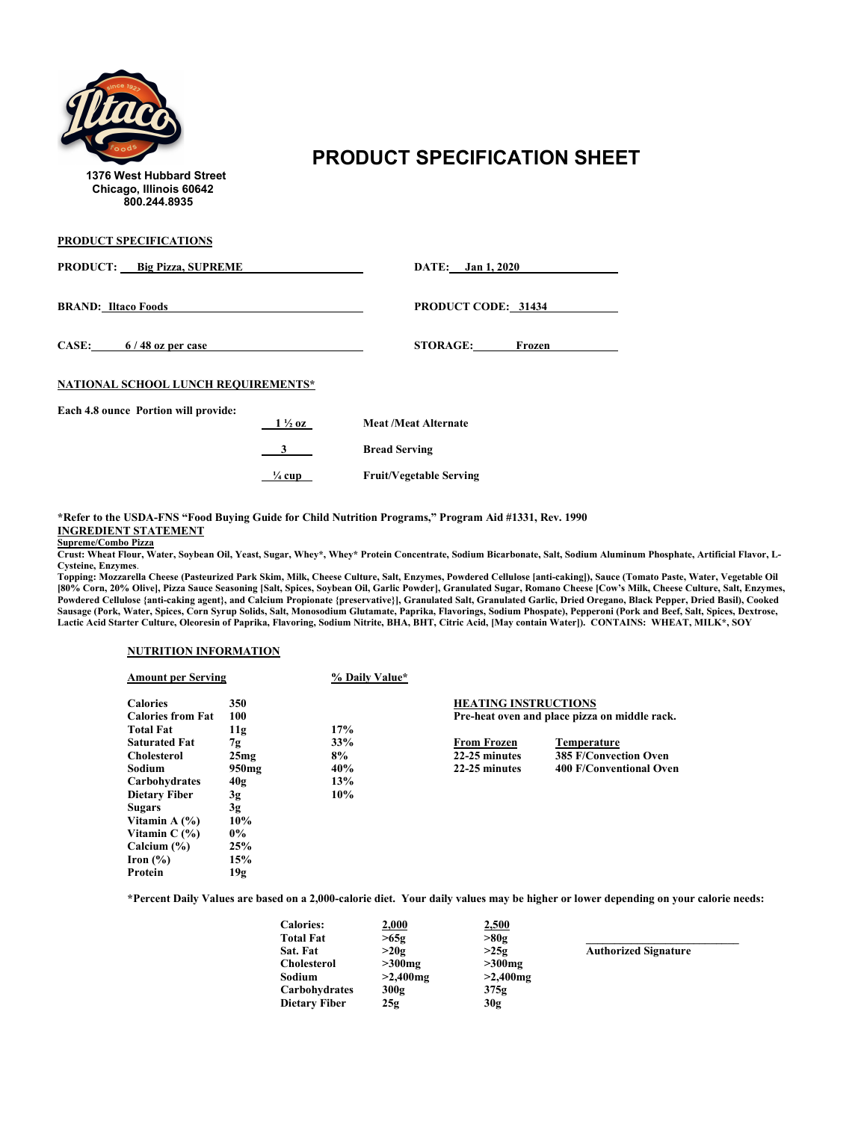

# **PRODUCT SPECIFICATION SHEET**<br>1376 West Hubbard Street

**PRODUCT SPECIFICATIONS**

| <b>PRODUCT:</b> Big Pizza, SUPREME   |                   | DATE: Jan 1, 2020              |
|--------------------------------------|-------------------|--------------------------------|
| <b>BRAND: Iltaco Foods</b>           |                   | <b>PRODUCT CODE: 31434</b>     |
| CASE: $6/48$ oz per case             |                   | <b>STORAGE:</b><br>Frozen      |
| NATIONAL SCHOOL LUNCH REQUIREMENTS*  |                   |                                |
| Each 4.8 ounce Portion will provide: |                   |                                |
|                                      | $1\frac{1}{2}$ oz | <b>Meat /Meat Alternate</b>    |
|                                      | 3                 | <b>Bread Serving</b>           |
|                                      | $\frac{1}{4}$ cup | <b>Fruit/Vegetable Serving</b> |

**\*Refer to the USDA-FNS "Food Buying Guide for Child Nutrition Programs," Program Aid #1331, Rev. 1990 INGREDIENT STATEMENT**

#### **Supreme/Combo Pizza**

**Crust: Wheat Flour, Water, Soybean Oil, Yeast, Sugar, Whey\*, Whey\* Protein Concentrate, Sodium Bicarbonate, Salt, Sodium Aluminum Phosphate, Artificial Flavor, L-Cysteine, Enzymes**.

**Topping: Mozzarella Cheese (Pasteurized Park Skim, Milk, Cheese Culture, Salt, Enzymes, Powdered Cellulose [anti-caking]), Sauce (Tomato Paste, Water, Vegetable Oil [80% Corn, 20% Olive], Pizza Sauce Seasoning [Salt, Spices, Soybean Oil, Garlic Powder], Granulated Sugar, Romano Cheese [Cow's Milk, Cheese Culture, Salt, Enzymes,**  Powdered Cellulose {anti-caking agent}, and Calcium Propionate {preservative}], Granulated Salt, Granulated Garlic, Dried Oregano, Black Pepper, Dried Basil), Cooked **Sausage (Pork, Water, Spices, Corn Syrup Solids, Salt, Monosodium Glutamate, Paprika, Flavorings, Sodium Phospate), Pepperoni (Pork and Beef, Salt, Spices, Dextrose, Lactic Acid Starter Culture, Oleoresin of Paprika, Flavoring, Sodium Nitrite, BHA, BHT, Citric Acid, [May contain Water]). CONTAINS: WHEAT, MILK\*, SOY**

### **NUTRITION INFORMATION**

| <b>Amount per Serving</b>                   |            | % Daily Value* |                             |                                               |
|---------------------------------------------|------------|----------------|-----------------------------|-----------------------------------------------|
| <b>Calories</b><br><b>Calories from Fat</b> | 350<br>100 |                | <b>HEATING INSTRUCTIONS</b> |                                               |
| <b>Total Fat</b>                            | 11g        | 17%            |                             | Pre-heat oven and place pizza on middle rack. |
| <b>Saturated Fat</b>                        | 7g         | 33%            | <b>From Frozen</b>          | <b>Temperature</b>                            |
| <b>Cholesterol</b>                          | 25mg       | 8%             | 22-25 minutes               | <b>385 F/Convection Oven</b>                  |
| Sodium                                      | 950mg      | 40%            | 22-25 minutes               | 400 F/Conventional Oven                       |
| Carbohydrates                               | 40g        | 13%            |                             |                                               |
| <b>Dietary Fiber</b>                        | 3g         | 10%            |                             |                                               |
| <b>Sugars</b>                               | 3g         |                |                             |                                               |
| Vitamin A $(\% )$                           | 10%        |                |                             |                                               |
| Vitamin $C(\%)$                             | $0\%$      |                |                             |                                               |
| Calcium $(\% )$                             | 25%        |                |                             |                                               |
| Iron $(\% )$                                | 15%        |                |                             |                                               |
| Protein                                     | 19g        |                |                             |                                               |

| <b>Calories:</b>     | 2,000       | 2,500       |                             |
|----------------------|-------------|-------------|-----------------------------|
| <b>Total Fat</b>     | >65g        | >80g        |                             |
| Sat. Fat             | >20g        | >25g        | <b>Authorized Signature</b> |
| <b>Cholesterol</b>   | $>300$ mg   | $>300$ mg   |                             |
| Sodium               | $>2,400$ mg | $>2,400$ mg |                             |
| Carbohydrates        | 300g        | 375g        |                             |
| <b>Dietary Fiber</b> | 25g         | 30g         |                             |